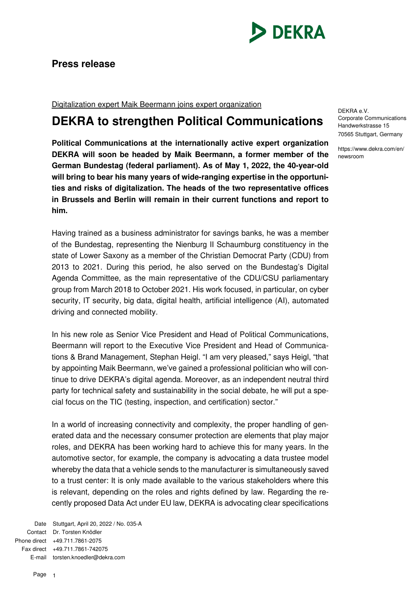

## **Press release**

Digitalization expert Maik Beermann joins expert organization

## **DEKRA to strengthen Political Communications**

**Political Communications at the internationally active expert organization DEKRA will soon be headed by Maik Beermann, a former member of the German Bundestag (federal parliament). As of May 1, 2022, the 40-year-old will bring to bear his many years of wide-ranging expertise in the opportunities and risks of digitalization. The heads of the two representative offices in Brussels and Berlin will remain in their current functions and report to him.** 

Having trained as a business administrator for savings banks, he was a member of the Bundestag, representing the Nienburg II Schaumburg constituency in the state of Lower Saxony as a member of the Christian Democrat Party (CDU) from 2013 to 2021. During this period, he also served on the Bundestag's Digital Agenda Committee, as the main representative of the CDU/CSU parliamentary group from March 2018 to October 2021. His work focused, in particular, on cyber security, IT security, big data, digital health, artificial intelligence (AI), automated driving and connected mobility.

In his new role as Senior Vice President and Head of Political Communications, Beermann will report to the Executive Vice President and Head of Communications & Brand Management, Stephan Heigl. "I am very pleased," says Heigl, "that by appointing Maik Beermann, we've gained a professional politician who will continue to drive DEKRA's digital agenda. Moreover, as an independent neutral third party for technical safety and sustainability in the social debate, he will put a special focus on the TIC (testing, inspection, and certification) sector."

In a world of increasing connectivity and complexity, the proper handling of generated data and the necessary consumer protection are elements that play major roles, and DEKRA has been working hard to achieve this for many years. In the automotive sector, for example, the company is advocating a data trustee model whereby the data that a vehicle sends to the manufacturer is simultaneously saved to a trust center: It is only made available to the various stakeholders where this is relevant, depending on the roles and rights defined by law. Regarding the recently proposed Data Act under EU law, DEKRA is advocating clear specifications

Date Stuttgart, April 20, 2022 / No. 035-A Contact Dr. Torsten Knödler Phone direct +49.711.7861-2075 Fax direct +49.711.7861-742075 E-mail torsten.knoedler@dekra.com

DEKRA e.V. Corporate Communications Handwerkstrasse 15 70565 Stuttgart, Germany

https://www.dekra.com/en/ newsroom